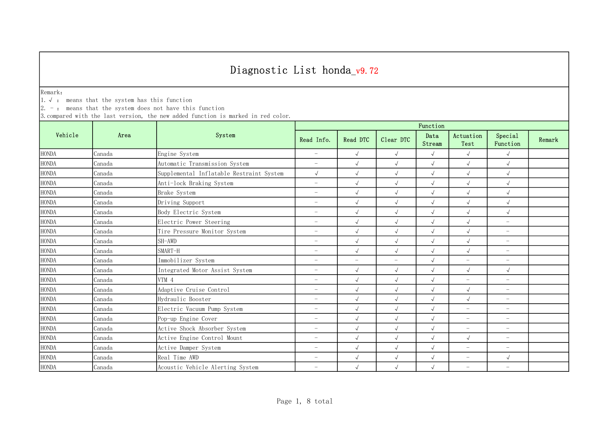Remark:

1.√ : means that the system has this function

 $2. -:$  means that the system does not have this function

|                        |        | System                                   | Function                 |                          |                          |                |                          |                          |        |  |
|------------------------|--------|------------------------------------------|--------------------------|--------------------------|--------------------------|----------------|--------------------------|--------------------------|--------|--|
| Vehicle                | Area   |                                          | Read Info.               | Read DTC                 | Clear DTC                | Data<br>Stream | Actuation<br>Test        | Special<br>Function      | Remark |  |
| <b>HONDA</b>           | Canada | Engine System                            | $\overline{\phantom{0}}$ | $\sqrt{ }$               | $\sqrt{ }$               | $\sqrt{ }$     | $\sqrt{ }$               | $\sqrt{ }$               |        |  |
| <b>HONDA</b>           | Canada | Automatic Transmission System            | $\overline{\phantom{0}}$ | $\sqrt{ }$               | $\sqrt{ }$               | $\sqrt{ }$     | $\sqrt{ }$               | $\sqrt{ }$               |        |  |
| <b>HONDA</b>           | Canada | Supplemental Inflatable Restraint System | $\sqrt{ }$               | $\sqrt{2}$               | $\sqrt{ }$               | $\sqrt{ }$     | $\sqrt{ }$               | $\sqrt{ }$               |        |  |
| <b>HONDA</b>           | Canada | Anti-lock Braking System                 | $\overline{\phantom{0}}$ | $\sqrt{2}$               | $\sqrt{ }$               | $\sqrt{2}$     | $\sqrt{ }$               | $\sqrt{ }$               |        |  |
| ${\rm HONDA}$          | Canada | Brake System                             | $\overline{\phantom{m}}$ | $\sqrt{2}$               | $\sqrt{ }$               | $\sqrt{2}$     | $\sqrt{ }$               | $\sqrt{ }$               |        |  |
| <b>HONDA</b>           | Canada | Driving Support                          | $\overline{\phantom{0}}$ | $\sqrt{2}$               | $\sqrt{ }$               | $\sqrt{ }$     | $\sqrt{ }$               | $\sqrt{ }$               |        |  |
| ${\rm HONDA}$          | Canada | Body Electric System                     | $\overline{\phantom{0}}$ | $\sqrt{2}$               | $\sqrt{ }$               | $\sqrt{ }$     | $\sqrt{ }$               | $\sqrt{ }$               |        |  |
| <b>HONDA</b>           | Canada | Electric Power Steering                  | $\overline{\phantom{0}}$ | $\sqrt{2}$               | $\sqrt{ }$               | $\sqrt{2}$     | $\sqrt{ }$               | $\overline{\phantom{0}}$ |        |  |
| <b>HONDA</b>           | Canada | Tire Pressure Monitor System             | $\overline{\phantom{0}}$ | $\sqrt{2}$               | $\checkmark$             | $\sqrt{2}$     | $\sqrt{ }$               | $\overline{\phantom{m}}$ |        |  |
| <b>HONDA</b>           | Canada | SH-AWD                                   | $\overline{\phantom{0}}$ | $\sqrt{2}$               | $\sqrt{ }$               | $\sqrt{2}$     | $\sqrt{ }$               | $\overline{\phantom{m}}$ |        |  |
| <b>HONDA</b>           | Canada | SMART-H                                  | $\overline{\phantom{0}}$ | $\sqrt{2}$               | $\sqrt{ }$               | $\sqrt{2}$     | $\sqrt{ }$               | $\overline{\phantom{m}}$ |        |  |
| <b>HONDA</b>           | Canada | Immobilizer System                       | $\overline{\phantom{a}}$ | $\overline{\phantom{a}}$ | $\overline{\phantom{a}}$ | $\sqrt{ }$     | $\overline{\phantom{a}}$ | $\overline{\phantom{m}}$ |        |  |
| <b>HONDA</b>           | Canada | Integrated Motor Assist System           | $\overline{\phantom{m}}$ | $\sqrt{ }$               | $\sqrt{ }$               | $\sqrt{ }$     | $\sqrt{ }$               | $\sqrt{ }$               |        |  |
| <b>HONDA</b>           | Canada | VTM 4                                    | $\overline{\phantom{0}}$ | $\sqrt{2}$               | $\sqrt{2}$               | $\sqrt{ }$     | $\overline{\phantom{m}}$ | $\overline{\phantom{m}}$ |        |  |
| <b>HONDA</b>           | Canada | Adaptive Cruise Control                  | $\overline{\phantom{0}}$ | $\sqrt{2}$               | $\sqrt{ }$               | $\sqrt{2}$     | $\sqrt{ }$               | $\overline{\phantom{m}}$ |        |  |
| <b>HONDA</b>           | Canada | Hydraulic Booster                        | $\overline{\phantom{m}}$ | $\sqrt{2}$               | $\sqrt{ }$               | $\sqrt{2}$     | $\sqrt{ }$               | $\overline{\phantom{m}}$ |        |  |
| <b>HONDA</b>           | Canada | Electric Vacuum Pump System              | $\overline{\phantom{0}}$ | $\sqrt{2}$               | $\sqrt{ }$               | $\sqrt{ }$     | $\overline{\phantom{m}}$ | $\overline{\phantom{0}}$ |        |  |
| $\operatorname{HONDA}$ | Canada | Pop-up Engine Cover                      | $\overline{\phantom{0}}$ | $\sqrt{2}$               | $\sqrt{ }$               | $\sqrt{ }$     | $\overline{\phantom{0}}$ | $\overline{\phantom{0}}$ |        |  |
| <b>HONDA</b>           | Canada | Active Shock Absorber System             | $\overline{\phantom{0}}$ | $\sqrt{2}$               | $\sqrt{ }$               | $\sqrt{ }$     | $\overline{\phantom{a}}$ | $\overline{\phantom{0}}$ |        |  |
| <b>HONDA</b>           | Canada | Active Engine Control Mount              | $\overline{\phantom{m}}$ | $\sqrt{ }$               | $\sqrt{ }$               | $\sqrt{2}$     | $\sqrt{ }$               | $\overline{\phantom{m}}$ |        |  |
| <b>HONDA</b>           | Canada | Active Damper System                     | $\overline{\phantom{0}}$ | $\sqrt{2}$               | $\checkmark$             | $\sqrt{2}$     | $\equiv$                 | $\overline{\phantom{m}}$ |        |  |
| <b>HONDA</b>           | Canada | Real Time AWD                            | $\overline{\phantom{0}}$ | $\sqrt{ }$               | $\sqrt{ }$               | $\sqrt{ }$     | $\overline{\phantom{m}}$ | $\sqrt{ }$               |        |  |
| <b>HONDA</b>           | Canada | Acoustic Vehicle Alerting System         | $\overline{\phantom{0}}$ | $\sqrt{ }$               | $\sqrt{ }$               | $\sqrt{ }$     | $\overline{\phantom{0}}$ | $\overline{\phantom{0}}$ |        |  |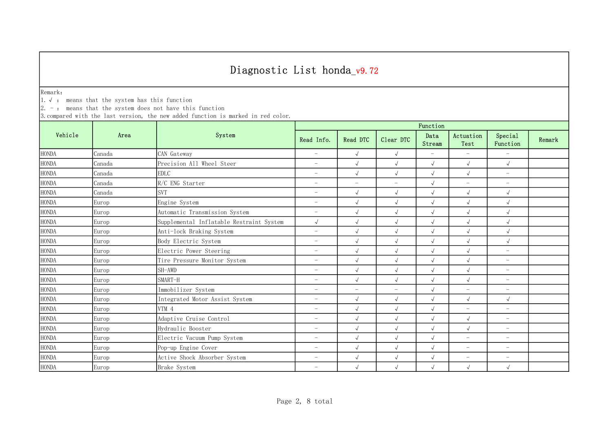Remark:

1.√ : means that the system has this function

 $2. -:$  means that the system does not have this function

|                        |        | System                                   | Function                 |            |                          |                          |                          |                          |        |  |
|------------------------|--------|------------------------------------------|--------------------------|------------|--------------------------|--------------------------|--------------------------|--------------------------|--------|--|
| Vehicle                | Area   |                                          | Read Info.               | Read DTC   | Clear DTC                | Data<br>Stream           | Actuation<br>Test        | Special<br>Function      | Remark |  |
| <b>HONDA</b>           | Canada | CAN Gateway                              | $\overline{\phantom{a}}$ | $\sqrt{ }$ | $\sqrt{ }$               | $\overline{\phantom{a}}$ | $\overline{\phantom{a}}$ | $\equiv$                 |        |  |
| <b>HONDA</b>           | Canada | Precision All Wheel Steer                | $\overline{\phantom{m}}$ | $\sqrt{2}$ | $\sqrt{ }$               | $\sqrt{ }$               | $\sqrt{ }$               | $\sqrt{ }$               |        |  |
| <b>HONDA</b>           | Canada | <b>EDLC</b>                              | $\overline{\phantom{m}}$ | $\sqrt{2}$ | $\sqrt{ }$               | $\sqrt{ }$               | $\sqrt{ }$               | $\overline{\phantom{m}}$ |        |  |
| <b>HONDA</b>           | Canada | R/C ENG Starter                          | $\overline{\phantom{0}}$ | $-$        | $\overline{\phantom{m}}$ | $\sqrt{2}$               | $\overline{\phantom{m}}$ | $\overline{\phantom{m}}$ |        |  |
| $\operatorname{HONDA}$ | Canada | <b>SVT</b>                               | $\overline{\phantom{0}}$ | $\sqrt{2}$ | $\sqrt{ }$               | $\sqrt{2}$               | $\sqrt{ }$               | $\sqrt{ }$               |        |  |
| <b>HONDA</b>           | Europ  | Engine System                            | $\overline{\phantom{0}}$ | $\sqrt{2}$ | $\sqrt{ }$               | $\sqrt{ }$               | $\sqrt{ }$               | $\sqrt{ }$               |        |  |
| $\operatorname{HONDA}$ | Europ  | Automatic Transmission System            | $\overline{\phantom{0}}$ | $\sqrt{2}$ | $\sqrt{ }$               | $\sqrt{2}$               | $\sqrt{ }$               | $\sqrt{ }$               |        |  |
| <b>HONDA</b>           | Europ  | Supplemental Inflatable Restraint System | $\sqrt{ }$               | $\sqrt{2}$ | $\sqrt{ }$               | $\sqrt{ }$               | $\sqrt{}$                | $\sqrt{ }$               |        |  |
| <b>HONDA</b>           | Europ  | Anti-lock Braking System                 | $\overline{\phantom{m}}$ | $\sqrt{2}$ | $\sqrt{ }$               | $\sqrt{ }$               | $\sqrt{ }$               | $\sqrt{ }$               |        |  |
| <b>HONDA</b>           | Europ  | Body Electric System                     | $\overline{\phantom{0}}$ | $\sqrt{2}$ | $\sqrt{ }$               | $\sqrt{ }$               | $\sqrt{}$                | $\sqrt{ }$               |        |  |
| <b>HONDA</b>           | Europ  | Electric Power Steering                  | $\overline{\phantom{m}}$ | $\sqrt{2}$ | $\sqrt{ }$               | $\sqrt{ }$               | $\sqrt{ }$               | $\overline{\phantom{a}}$ |        |  |
| $\operatorname{HONDA}$ | Europ  | Tire Pressure Monitor System             | $\overline{\phantom{m}}$ | $\sqrt{2}$ | $\sqrt{ }$               | $\sqrt{ }$               | $\sqrt{ }$               | $\overline{\phantom{m}}$ |        |  |
| <b>HONDA</b>           | Europ  | SH-AWD                                   | $\overline{\phantom{m}}$ | $\sqrt{2}$ | $\sqrt{ }$               | $\sqrt{2}$               | $\sqrt{ }$               | $\overline{\phantom{m}}$ |        |  |
| <b>HONDA</b>           | Europ  | SMART-H                                  | $\overline{\phantom{m}}$ | $\sqrt{2}$ | $\sqrt{ }$               | $\sqrt{ }$               | $\sqrt{ }$               | $\overline{\phantom{m}}$ |        |  |
| <b>HONDA</b>           | Europ  | Immobilizer System                       | $\overline{\phantom{0}}$ | $-$        | $\overline{\phantom{m}}$ | $\sqrt{ }$               | $\overline{\phantom{m}}$ | $\overline{\phantom{m}}$ |        |  |
| $\operatorname{HONDA}$ | Europ  | Integrated Motor Assist System           | $\overline{\phantom{0}}$ | $\sqrt{ }$ | $\sqrt{ }$               | $\sqrt{ }$               | $\sqrt{ }$               | $\sqrt{ }$               |        |  |
| <b>HONDA</b>           | Europ  | VTM 4                                    | $\overline{\phantom{0}}$ | $\sqrt{2}$ | $\sqrt{ }$               | $\sqrt{ }$               | $\overline{\phantom{0}}$ | $\overline{\phantom{0}}$ |        |  |
| <b>HONDA</b>           | Europ  | Adaptive Cruise Control                  | $\overline{\phantom{0}}$ | $\sqrt{2}$ | $\sqrt{ }$               | $\sqrt{2}$               | $\sqrt{ }$               | $\qquad \qquad -$        |        |  |
| <b>HONDA</b>           | Europ  | Hydraulic Booster                        | $\overline{\phantom{m}}$ | $\sqrt{2}$ | $\sqrt{ }$               | $\sqrt{ }$               | $\sqrt{}$                | $\overline{\phantom{m}}$ |        |  |
| <b>HONDA</b>           | Europ  | Electric Vacuum Pump System              | $\overline{\phantom{m}}$ | $\sqrt{2}$ | $\sqrt{ }$               | $\sqrt{ }$               | $\equiv$                 | $\overline{\phantom{m}}$ |        |  |
| <b>HONDA</b>           | Europ  | Pop-up Engine Cover                      | $\overline{\phantom{0}}$ | $\sqrt{2}$ | $\sqrt{ }$               | $\sqrt{ }$               | $\overline{\phantom{m}}$ | $\overline{\phantom{m}}$ |        |  |
| <b>HONDA</b>           | Europ  | Active Shock Absorber System             | $\overline{\phantom{m}}$ | $\sqrt{}$  | $\sqrt{ }$               | $\sqrt{ }$               | $\overline{\phantom{m}}$ | $\overline{\phantom{m}}$ |        |  |
| <b>HONDA</b>           | Europ  | Brake System                             | $\overline{\phantom{m}}$ | $\sqrt{2}$ | $\sqrt{ }$               | $\sqrt{ }$               | $\sqrt{ }$               | $\sqrt{ }$               |        |  |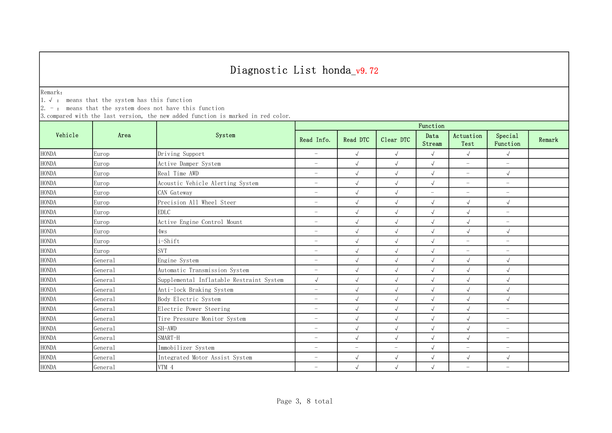Remark:

1.√ : means that the system has this function

 $2. -:$  means that the system does not have this function

|              |         | System                                   | Function                 |                          |                          |                          |                          |                          |        |  |
|--------------|---------|------------------------------------------|--------------------------|--------------------------|--------------------------|--------------------------|--------------------------|--------------------------|--------|--|
| Vehicle      | Area    |                                          | Read Info.               | Read DTC                 | Clear DTC                | Data<br>Stream           | Actuation<br>Test        | Special<br>Function      | Remark |  |
| <b>HONDA</b> | Europ   | Driving Support                          | $\overline{\phantom{m}}$ | $\sqrt{ }$               | $\sqrt{ }$               | $\sqrt{ }$               | $\sqrt{ }$               | $\sqrt{ }$               |        |  |
| <b>HONDA</b> | Europ   | Active Damper System                     | $\overline{\phantom{m}}$ | $\sqrt{ }$               | $\sqrt{ }$               | $\sqrt{ }$               | $\overline{\phantom{m}}$ | $\overline{\phantom{0}}$ |        |  |
| <b>HONDA</b> | Europ   | Real Time AWD                            | $\overline{\phantom{0}}$ | $\sqrt{2}$               | $\sqrt{ }$               | $\sqrt{ }$               | $\overline{\phantom{m}}$ | $\sqrt{2}$               |        |  |
| <b>HONDA</b> | Europ   | Acoustic Vehicle Alerting System         | $\overline{\phantom{m}}$ | $\sqrt{ }$               | $\sqrt{ }$               | $\sqrt{2}$               | $\overline{\phantom{m}}$ | $\overline{\phantom{0}}$ |        |  |
| <b>HONDA</b> | Europ   | CAN Gateway                              | $\overline{\phantom{0}}$ | $\sqrt{2}$               | $\sqrt{ }$               | $\overline{\phantom{0}}$ | $\overline{\phantom{m}}$ | $\overline{\phantom{m}}$ |        |  |
| <b>HONDA</b> | Europ   | Precision All Wheel Steer                | $\overline{\phantom{0}}$ | $\sqrt{ }$               | $\sqrt{ }$               | $\sqrt{ }$               | $\sqrt{ }$               | $\sqrt{ }$               |        |  |
| <b>HONDA</b> | Europ   | <b>EDLC</b>                              | $\overline{\phantom{0}}$ | $\sqrt{2}$               | $\sqrt{ }$               | $\sqrt{ }$               | $\sqrt{ }$               | $\overline{a}$           |        |  |
| <b>HONDA</b> | Europ   | Active Engine Control Mount              | $\overline{\phantom{0}}$ | $\sqrt{2}$               | $\sqrt{ }$               | $\sqrt{ }$               | $\sqrt{ }$               | $\overline{\phantom{0}}$ |        |  |
| <b>HONDA</b> | Europ   | 4ws                                      | $\overline{\phantom{0}}$ | $\sqrt{2}$               | $\sqrt{ }$               | $\sqrt{ }$               | $\sqrt{ }$               | $\sqrt{2}$               |        |  |
| <b>HONDA</b> | Europ   | $\operatorname{i--Shift}$                | $\overline{\phantom{0}}$ | $\sqrt{ }$               | $\sqrt{ }$               | $\sqrt{ }$               | $\overline{\phantom{0}}$ | $\overline{a}$           |        |  |
| <b>HONDA</b> | Europ   | <b>SVT</b>                               | $\overline{\phantom{0}}$ | $\sqrt{ }$               | $\sqrt{ }$               | $\sqrt{ }$               | $\overline{\phantom{a}}$ | $\overline{\phantom{0}}$ |        |  |
| <b>HONDA</b> | General | Engine System                            | $\overline{\phantom{0}}$ | $\sqrt{ }$               | $\sqrt{ }$               | $\sqrt{ }$               | $\sqrt{ }$               | $\sqrt{ }$               |        |  |
| <b>HONDA</b> | General | Automatic Transmission System            | $\overline{\phantom{m}}$ | $\sqrt{ }$               | $\sqrt{ }$               | $\sqrt{ }$               | $\sqrt{ }$               | $\sqrt{ }$               |        |  |
| <b>HONDA</b> | General | Supplemental Inflatable Restraint System | $\sqrt{ }$               | $\sqrt{2}$               | $\sqrt{ }$               | $\sqrt{2}$               | $\sqrt{ }$               | $\sqrt{ }$               |        |  |
| <b>HONDA</b> | General | Anti-lock Braking System                 | $\overline{\phantom{0}}$ | $\sqrt{ }$               | $\sqrt{ }$               | $\sqrt{2}$               | $\sqrt{ }$               | $\sqrt{ }$               |        |  |
| <b>HONDA</b> | General | Body Electric System                     | $\overline{\phantom{0}}$ | $\sqrt{ }$               | $\sqrt{ }$               | $\sqrt{ }$               | $\sqrt{ }$               | $\sqrt{ }$               |        |  |
| <b>HONDA</b> | General | Electric Power Steering                  | $\overline{\phantom{0}}$ | $\sqrt{ }$               | $\sqrt{ }$               | $\sqrt{ }$               | $\sqrt{ }$               | $\overline{\phantom{0}}$ |        |  |
| <b>HONDA</b> | General | Tire Pressure Monitor System             | $\overline{\phantom{0}}$ | $\sqrt{2}$               | $\sqrt{ }$               | $\sqrt{ }$               | $\sqrt{ }$               | $\overline{\phantom{0}}$ |        |  |
| <b>HONDA</b> | General | SH-AWD                                   | $\overline{\phantom{0}}$ | $\sqrt{2}$               | $\sqrt{ }$               | $\sqrt{ }$               | $\sqrt{ }$               | $\overline{\phantom{0}}$ |        |  |
| <b>HONDA</b> | General | SMART-H                                  | $\overline{\phantom{0}}$ | $\sqrt{ }$               | $\sqrt{ }$               | $\sqrt{ }$               | $\sqrt{ }$               | $\overline{a}$           |        |  |
| <b>HONDA</b> | Genera1 | Immobilizer System                       | $\overline{\phantom{0}}$ | $\overline{\phantom{0}}$ | $\overline{\phantom{m}}$ | $\sqrt{ }$               | $\equiv$                 | $\overline{\phantom{0}}$ |        |  |
| <b>HONDA</b> | General | Integrated Motor Assist System           | $\overline{\phantom{0}}$ | $\sqrt{ }$               | $\sqrt{ }$               | $\sqrt{ }$               | $\sqrt{ }$               | $\sqrt{ }$               |        |  |
| <b>HONDA</b> | General | VTM 4                                    | $\overline{\phantom{0}}$ | $\sqrt{ }$               | $\sqrt{ }$               | $\sqrt{ }$               | $\overline{\phantom{a}}$ | $\overline{\phantom{0}}$ |        |  |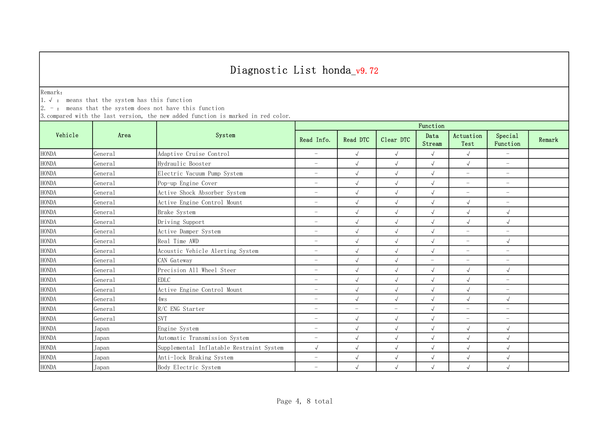Remark:

1.√ : means that the system has this function

 $2. -:$  means that the system does not have this function

|              |                     | System                                   | Function                 |                          |                          |                          |                          |                          |        |  |
|--------------|---------------------|------------------------------------------|--------------------------|--------------------------|--------------------------|--------------------------|--------------------------|--------------------------|--------|--|
| Vehicle      | Area                |                                          | Read Info.               | Read DTC                 | Clear DTC                | Data<br>Stream           | Actuation<br>Test        | Special<br>Function      | Remark |  |
| <b>HONDA</b> | General             | Adaptive Cruise Control                  | $\overline{\phantom{0}}$ | $\sqrt{ }$               | $\sqrt{ }$               | $\sqrt{ }$               | $\sqrt{ }$               | $\overline{\phantom{a}}$ |        |  |
| <b>HONDA</b> | General             | Hydraulic Booster                        | $\overline{\phantom{0}}$ | $\sqrt{ }$               | $\sqrt{ }$               | $\sqrt{ }$               | $\sqrt{ }$               | $\overline{\phantom{0}}$ |        |  |
| <b>HONDA</b> | General             | Electric Vacuum Pump System              | $\overline{\phantom{0}}$ | $\sqrt{ }$               | $\sqrt{ }$               | $\sqrt{ }$               | $\equiv$                 | $\overline{\phantom{0}}$ |        |  |
| <b>HONDA</b> | General             | Pop-up Engine Cover                      | $\overline{\phantom{m}}$ | $\sqrt{ }$               | $\sqrt{ }$               | $\sqrt{ }$               | $\overline{\phantom{a}}$ | $\overline{\phantom{0}}$ |        |  |
| <b>HONDA</b> | General             | Active Shock Absorber System             | $\overline{\phantom{m}}$ | $\sqrt{ }$               |                          | $\sqrt{}$                | $\overline{\phantom{m}}$ | $\overline{\phantom{0}}$ |        |  |
| <b>HONDA</b> | Genera <sub>1</sub> | Active Engine Control Mount              | $\overline{\phantom{m}}$ | $\sqrt{ }$               | $\sqrt{ }$               | $\sqrt{ }$               | $\sqrt{ }$               | $\overline{\phantom{a}}$ |        |  |
| <b>HONDA</b> | General             | Brake System                             | $\overline{\phantom{0}}$ | $\sqrt{2}$               | $\sqrt{ }$               | $\sqrt{ }$               | $\sqrt{ }$               | $\sqrt{ }$               |        |  |
| <b>HONDA</b> | General             | Driving Support                          | $\overline{\phantom{0}}$ | $\sqrt{ }$               | $\sqrt{ }$               | $\sqrt{2}$               | $\sqrt{ }$               | $\sqrt{2}$               |        |  |
| <b>HONDA</b> | General             | Active Damper System                     | $\overline{\phantom{0}}$ | $\sqrt{2}$               | $\sqrt{ }$               | $\sqrt{ }$               | $\sim$                   | $\overline{\phantom{0}}$ |        |  |
| <b>HONDA</b> | General             | Real Time AWD                            | $\overline{\phantom{0}}$ | $\sqrt{ }$               | $\sqrt{}$                | $\sqrt{ }$               | $\overline{\phantom{m}}$ | $\sqrt{2}$               |        |  |
| <b>HONDA</b> | General             | Acoustic Vehicle Alerting System         | $\overline{\phantom{0}}$ | $\sqrt{ }$               | $\sqrt{ }$               | $\sqrt{ }$               | $\overline{\phantom{m}}$ | $\overline{\phantom{0}}$ |        |  |
| <b>HONDA</b> | General             | CAN Gateway                              | $\overline{\phantom{0}}$ | $\sqrt{ }$               | $\sqrt{ }$               | $\overline{\phantom{a}}$ | $\overline{\phantom{a}}$ | $\overline{a}$           |        |  |
| <b>HONDA</b> | General             | Precision All Wheel Steer                | $\overline{\phantom{0}}$ | $\sqrt{ }$               | $\sqrt{ }$               | $\sqrt{ }$               | $\sqrt{ }$               | $\sqrt{ }$               |        |  |
| <b>HONDA</b> | General             | <b>EDLC</b>                              | $\overline{\phantom{0}}$ | $\sqrt{2}$               | $\sqrt{ }$               | $\sqrt{ }$               | $\sqrt{ }$               | $\overline{\phantom{0}}$ |        |  |
| <b>HONDA</b> | General             | Active Engine Control Mount              | $\overline{\phantom{m}}$ | $\sqrt{2}$               | $\sqrt{ }$               | $\sqrt{ }$               | $\sqrt{ }$               | $\overline{\phantom{0}}$ |        |  |
| <b>HONDA</b> | General             | 4ws                                      | $\overline{\phantom{0}}$ | $\sqrt{2}$               | $\sqrt{ }$               | $\sqrt{2}$               | $\sqrt{ }$               | $\sqrt{ }$               |        |  |
| <b>HONDA</b> | General             | R/C ENG Starter                          | $\overline{\phantom{m}}$ | $\overline{\phantom{0}}$ | $\overline{\phantom{m}}$ | $\sqrt{ }$               | $\overline{\phantom{m}}$ | $\overline{\phantom{0}}$ |        |  |
| <b>HONDA</b> | General             | <b>SVT</b>                               | $\overline{\phantom{0}}$ | $\sqrt{ }$               | $\sqrt{ }$               | $\sqrt{ }$               | $\overline{\phantom{a}}$ | $\overline{\phantom{0}}$ |        |  |
| <b>HONDA</b> | Japan               | Engine System                            | $\overline{\phantom{0}}$ | $\sqrt{ }$               | $\sqrt{ }$               | $\sqrt{ }$               | $\sqrt{ }$               | $\sqrt{ }$               |        |  |
| <b>HONDA</b> | Japan               | Automatic Transmission System            | $\overline{\phantom{0}}$ | $\sqrt{2}$               | $\sqrt{ }$               | $\sqrt{ }$               | $\sqrt{ }$               | $\sqrt{2}$               |        |  |
| <b>HONDA</b> | Japan               | Supplemental Inflatable Restraint System | $\sqrt{ }$               | $\sqrt{ }$               | $\sqrt{ }$               | $\sqrt{ }$               | $\sqrt{ }$               | $\sqrt{2}$               |        |  |
| <b>HONDA</b> | Japan               | Anti-lock Braking System                 | $\overline{\phantom{0}}$ | $\sqrt{ }$               | $\sqrt{ }$               | $\sqrt{ }$               | $\sqrt{ }$               | $\sqrt{ }$               |        |  |
| <b>HONDA</b> | Japan               | Body Electric System                     | $\overline{\phantom{0}}$ | $\sqrt{ }$               | $\sqrt{ }$               | $\sqrt{ }$               | $\sqrt{ }$               | $\sqrt{ }$               |        |  |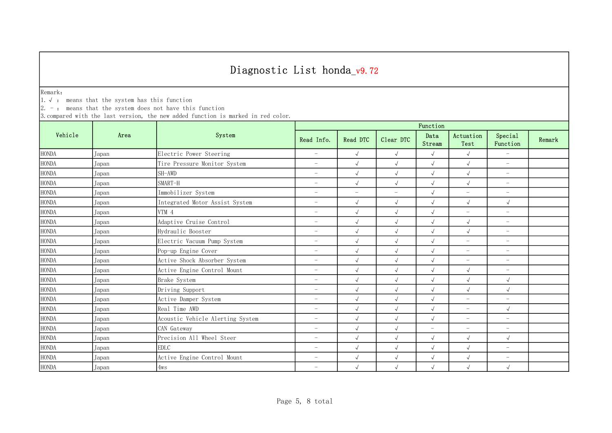Remark:

1.√ : means that the system has this function

 $2. -:$  means that the system does not have this function

|              |       | System                           | Function                 |                          |                          |                          |                          |                          |        |  |
|--------------|-------|----------------------------------|--------------------------|--------------------------|--------------------------|--------------------------|--------------------------|--------------------------|--------|--|
| Vehicle      | Area  |                                  | Read Info.               | Read DTC                 | Clear DTC                | Data<br>Stream           | Actuation<br>Test        | Special<br>Function      | Remark |  |
| <b>HONDA</b> | Japan | Electric Power Steering          | $\overline{\phantom{a}}$ | $\sqrt{ }$               | $\sqrt{ }$               | $\sqrt{ }$               | $\sqrt{ }$               | $\equiv$                 |        |  |
| <b>HONDA</b> | Japan | Tire Pressure Monitor System     | $\overline{\phantom{0}}$ | $\sqrt{ }$               | $\sqrt{ }$               | $\sqrt{ }$               | $\sqrt{ }$               | $\overline{\phantom{0}}$ |        |  |
| <b>HONDA</b> | Japan | SH-AWD                           | $\overline{\phantom{0}}$ | $\sqrt{2}$               | $\sqrt{ }$               | $\sqrt{ }$               | $\sqrt{ }$               | $\overline{\phantom{0}}$ |        |  |
| <b>HONDA</b> | Japan | SMART-H                          | $\overline{\phantom{0}}$ | $\sqrt{2}$               | $\sqrt{ }$               | $\sqrt{ }$               | $\sqrt{ }$               | $\overline{\phantom{a}}$ |        |  |
| <b>HONDA</b> | Japan | Immobilizer System               | $\overline{\phantom{m}}$ | $\overline{\phantom{0}}$ | $\overline{\phantom{m}}$ | $\sqrt{2}$               | $\overline{\phantom{m}}$ | $\overline{\phantom{0}}$ |        |  |
| <b>HONDA</b> | Japan | Integrated Motor Assist System   | $\overline{\phantom{0}}$ | $\sqrt{ }$               | $\sqrt{ }$               | $\sqrt{ }$               | $\sqrt{ }$               | $\sqrt{ }$               |        |  |
| <b>HONDA</b> | Japan | VTM 4                            | $\overline{\phantom{0}}$ | $\sqrt{2}$               | $\sqrt{ }$               | $\sqrt{ }$               | $\overline{\phantom{a}}$ | $\overline{\phantom{0}}$ |        |  |
| <b>HONDA</b> | Japan | Adaptive Cruise Control          | $\overline{\phantom{0}}$ | $\sqrt{ }$               | $\sqrt{ }$               | $\sqrt{ }$               | $\sqrt{ }$               | $\overline{\phantom{0}}$ |        |  |
| <b>HONDA</b> | Japan | Hydraulic Booster                | $\overline{\phantom{0}}$ | $\sqrt{2}$               | $\sqrt{ }$               | $\sqrt{ }$               | $\sqrt{ }$               | $\equiv$                 |        |  |
| <b>HONDA</b> | Japan | Electric Vacuum Pump System      | $\overline{\phantom{0}}$ | $\sqrt{ }$               | $\sqrt{ }$               | $\sqrt{ }$               | $\equiv$                 | $\overline{\phantom{0}}$ |        |  |
| <b>HONDA</b> | Japan | Pop-up Engine Cover              | $\overline{\phantom{0}}$ | $\sqrt{ }$               | $\sqrt{ }$               | $\sqrt{ }$               | $\overline{\phantom{m}}$ | $\overline{\phantom{0}}$ |        |  |
| <b>HONDA</b> | Japan | Active Shock Absorber System     | $\overline{\phantom{0}}$ | $\sqrt{ }$               | $\sqrt{ }$               | $\sqrt{ }$               | $\overline{\phantom{a}}$ | $\overline{\phantom{0}}$ |        |  |
| <b>HONDA</b> | Japan | Active Engine Control Mount      | $\overline{\phantom{0}}$ | $\sqrt{ }$               | $\sqrt{ }$               | $\sqrt{ }$               | $\sqrt{ }$               | $\overline{\phantom{0}}$ |        |  |
| <b>HONDA</b> | Japan | Brake System                     | $\overline{\phantom{m}}$ | $\sqrt{2}$               | $\sqrt{ }$               | $\sqrt{ }$               | $\sqrt{ }$               | $\sqrt{ }$               |        |  |
| <b>HONDA</b> | Japan | Driving Support                  | $\overline{\phantom{m}}$ | $\sqrt{ }$               | $\sqrt{ }$               | $\sqrt{ }$               | $\sqrt{ }$               | $\sqrt{2}$               |        |  |
| <b>HONDA</b> | Japan | Active Damper System             | $\overline{\phantom{0}}$ | $\sqrt{2}$               | $\sqrt{ }$               | $\sqrt{2}$               | $\overline{\phantom{m}}$ | $\overline{\phantom{0}}$ |        |  |
| <b>HONDA</b> | Japan | Real Time AWD                    | $\overline{\phantom{0}}$ | $\sqrt{ }$               | $\sqrt{ }$               | $\sqrt{ }$               | $\overline{\phantom{m}}$ | $\sqrt{ }$               |        |  |
| <b>HONDA</b> | Japan | Acoustic Vehicle Alerting System | $\overline{\phantom{0}}$ | $\sqrt{2}$               | $\sqrt{ }$               | $\sqrt{ }$               | $\overline{\phantom{0}}$ | $\overline{\phantom{0}}$ |        |  |
| <b>HONDA</b> | Japan | CAN Gateway                      | $\overline{\phantom{0}}$ | $\sqrt{ }$               | $\sqrt{ }$               | $\overline{\phantom{a}}$ | $\overline{\phantom{a}}$ | $\overline{\phantom{0}}$ |        |  |
| <b>HONDA</b> | Japan | Precision All Wheel Steer        | $\overline{\phantom{0}}$ | $\sqrt{2}$               | $\sqrt{ }$               | $\sqrt{ }$               | $\sqrt{ }$               | $\sqrt{2}$               |        |  |
| <b>HONDA</b> | Japan | <b>EDLC</b>                      | $\overline{\phantom{0}}$ | $\sqrt{ }$               | $\sqrt{ }$               | $\sqrt{ }$               | $\sqrt{}$                | $\overline{\phantom{0}}$ |        |  |
| <b>HONDA</b> | Japan | Active Engine Control Mount      | $\overline{\phantom{0}}$ | $\sqrt{ }$               | $\sqrt{ }$               | $\sqrt{ }$               | $\sqrt{ }$               | $\overline{\phantom{0}}$ |        |  |
| <b>HONDA</b> | Japan | 4ws                              | $\overline{\phantom{0}}$ | $\sqrt{ }$               | $\sqrt{}$                | $\sqrt{ }$               | $\sqrt{ }$               | $\sqrt{ }$               |        |  |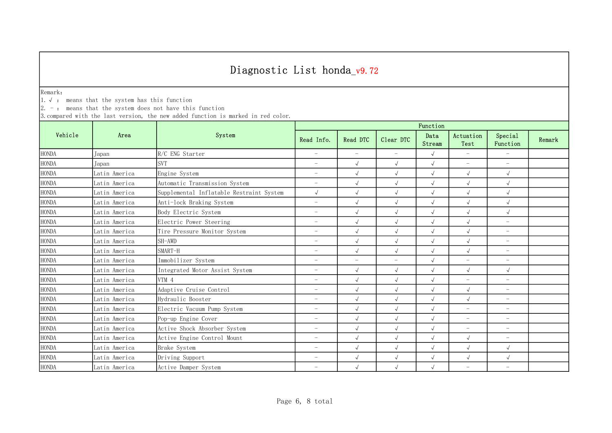Remark:

1.√ : means that the system has this function

 $2. -:$  means that the system does not have this function

|              | Area          | System                                   | Function                 |                          |                          |                |                          |                          |        |  |
|--------------|---------------|------------------------------------------|--------------------------|--------------------------|--------------------------|----------------|--------------------------|--------------------------|--------|--|
| Vehicle      |               |                                          | Read Info.               | Read DTC                 | Clear DTC                | Data<br>Stream | Actuation<br>Test        | Special<br>Function      | Remark |  |
| <b>HONDA</b> | Japan         | R/C ENG Starter                          | $\overline{\phantom{a}}$ | $\equiv$                 | $\equiv$                 | $\sqrt{ }$     | $\equiv$                 | $\equiv$                 |        |  |
| <b>HONDA</b> | Japan         | <b>SVT</b>                               | $\overline{\phantom{0}}$ | $\sqrt{2}$               | $\sqrt{ }$               | $\sqrt{ }$     | $\overline{\phantom{a}}$ | $\overline{\phantom{m}}$ |        |  |
| <b>HONDA</b> | Latin America | Engine System                            | $\overline{\phantom{m}}$ | $\sqrt{2}$               | $\sqrt{ }$               | $\sqrt{2}$     | $\sqrt{ }$               | $\sqrt{ }$               |        |  |
| <b>HONDA</b> | Latin America | Automatic Transmission System            | $\overline{\phantom{0}}$ | $\sqrt{2}$               | $\sqrt{ }$               | $\sqrt{2}$     | $\sqrt{ }$               | $\sqrt{ }$               |        |  |
| <b>HONDA</b> | Latin America | Supplemental Inflatable Restraint System | $\sqrt{ }$               | $\sqrt{2}$               | $\sqrt{ }$               | $\sqrt{2}$     | $\sqrt{ }$               | $\sqrt{ }$               |        |  |
| <b>HONDA</b> | Latin America | Anti-lock Braking System                 | $\overline{\phantom{0}}$ | $\sqrt{2}$               | $\sqrt{ }$               | $\sqrt{ }$     | $\sqrt{ }$               | $\sqrt{ }$               |        |  |
| <b>HONDA</b> | Latin America | Body Electric System                     | $\overline{\phantom{0}}$ | $\sqrt{ }$               | $\sqrt{ }$               | $\sqrt{ }$     | $\sqrt{2}$               | $\sqrt{ }$               |        |  |
| <b>HONDA</b> | Latin America | Electric Power Steering                  | $\overline{\phantom{0}}$ | $\sqrt{2}$               | $\sqrt{ }$               | $\sqrt{ }$     | $\sqrt{ }$               | $\overline{\phantom{m}}$ |        |  |
| <b>HONDA</b> | Latin America | Tire Pressure Monitor System             | $\overline{\phantom{0}}$ | $\sqrt{ }$               | $\sqrt{ }$               | $\sqrt{ }$     | $\sqrt{ }$               | $\overline{\phantom{m}}$ |        |  |
| <b>HONDA</b> | Latin America | SH-AWD                                   | $\overline{\phantom{0}}$ | $\sqrt{2}$               | $\sqrt{ }$               | $\sqrt{2}$     | $\sqrt{ }$               | $\overline{\phantom{m}}$ |        |  |
| <b>HONDA</b> | Latin America | SMART-H                                  | $\overline{\phantom{0}}$ | $\sqrt{2}$               | $\sqrt{ }$               | $\sqrt{ }$     | $\sqrt{ }$               | $\overline{\phantom{m}}$ |        |  |
| <b>HONDA</b> | Latin America | Immobilizer System                       | $\overline{\phantom{0}}$ | $\overline{\phantom{0}}$ | $\overline{\phantom{0}}$ | $\sqrt{2}$     | $\equiv$                 | $\overline{\phantom{m}}$ |        |  |
| <b>HONDA</b> | Latin America | Integrated Motor Assist System           | $\overline{\phantom{m}}$ | $\sqrt{ }$               | $\sqrt{ }$               | $\sqrt{ }$     | $\sqrt{ }$               | $\sqrt{ }$               |        |  |
| <b>HONDA</b> | Latin America | VTM 4                                    | $\overline{\phantom{0}}$ | $\sqrt{2}$               | $\sqrt{ }$               | $\sqrt{2}$     | $\overline{\phantom{m}}$ | $\overline{\phantom{0}}$ |        |  |
| <b>HONDA</b> | Latin America | Adaptive Cruise Control                  | $\overline{\phantom{m}}$ | $\sqrt{2}$               | $\sqrt{ }$               | $\sqrt{ }$     | $\sqrt{2}$               | $-$                      |        |  |
| <b>HONDA</b> | Latin America | Hydraulic Booster                        | $\overline{\phantom{0}}$ | $\sqrt{2}$               | $\sqrt{ }$               | $\sqrt{ }$     | $\sqrt{2}$               | $\overline{\phantom{m}}$ |        |  |
| <b>HONDA</b> | Latin America | Electric Vacuum Pump System              | $\overline{\phantom{0}}$ | $\sqrt{2}$               | $\sqrt{ }$               | $\sqrt{ }$     | $\overline{\phantom{m}}$ | $\overline{\phantom{m}}$ |        |  |
| <b>HONDA</b> | Latin America | Pop-up Engine Cover                      | $\overline{\phantom{0}}$ | $\sqrt{2}$               | $\sqrt{ }$               | $\sqrt{ }$     | $\overline{\phantom{0}}$ | $\overline{\phantom{m}}$ |        |  |
| <b>HONDA</b> | Latin America | Active Shock Absorber System             | $\overline{\phantom{0}}$ | $\sqrt{2}$               | $\sqrt{ }$               | $\sqrt{ }$     | $\overline{\phantom{0}}$ | $\overline{\phantom{0}}$ |        |  |
| <b>HONDA</b> | Latin America | Active Engine Control Mount              | $\overline{\phantom{0}}$ | $\sqrt{2}$               | $\sqrt{ }$               | $\sqrt{2}$     | $\sqrt{2}$               | $\overline{\phantom{m}}$ |        |  |
| <b>HONDA</b> | Latin America | Brake System                             | $\overline{\phantom{0}}$ | $\sqrt{2}$               | $\sqrt{ }$               | $\sqrt{ }$     | $\sqrt{ }$               | $\sqrt{ }$               |        |  |
| <b>HONDA</b> | Latin America | Driving Support                          | $\overline{\phantom{0}}$ | $\sqrt{ }$               | $\sqrt{ }$               | $\sqrt{2}$     | $\sqrt{ }$               | $\sqrt{ }$               |        |  |
| <b>HONDA</b> | Latin America | Active Damper System                     | $\overline{\phantom{0}}$ | $\sqrt{ }$               | $\sqrt{ }$               | $\sqrt{ }$     | $\overline{\phantom{0}}$ | $\qquad \qquad -$        |        |  |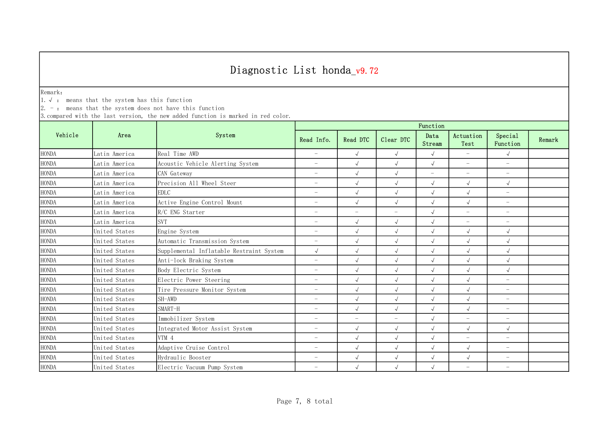Remark:

1.√ : means that the system has this function

 $2. -:$  means that the system does not have this function

|              |               | System                                   | Function                 |                          |                          |                          |                          |                          |        |  |
|--------------|---------------|------------------------------------------|--------------------------|--------------------------|--------------------------|--------------------------|--------------------------|--------------------------|--------|--|
| Vehicle      | Area          |                                          | Read Info.               | Read DTC                 | Clear DTC                | Data<br>Stream           | Actuation<br>Test        | Special<br>Function      | Remark |  |
| <b>HONDA</b> | Latin America | Real Time AWD                            | $\overline{\phantom{0}}$ | $\sqrt{ }$               | $\sqrt{}$                | $\sqrt{ }$               | $\overline{\phantom{a}}$ | $\sqrt{ }$               |        |  |
| <b>HONDA</b> | Latin America | Acoustic Vehicle Alerting System         | $\overline{\phantom{0}}$ | $\sqrt{ }$               | $\sqrt{ }$               | $\sqrt{ }$               | $\overline{\phantom{m}}$ | $\overline{\phantom{0}}$ |        |  |
| <b>HONDA</b> | Latin America | CAN Gateway                              | $\overline{\phantom{0}}$ | $\sqrt{ }$               | $\sqrt{ }$               | $\overline{\phantom{m}}$ | $\overline{\phantom{m}}$ | $\overline{\phantom{0}}$ |        |  |
| <b>HONDA</b> | Latin America | Precision All Wheel Steer                | $\overline{\phantom{0}}$ | $\sqrt{ }$               | $\sqrt{ }$               | $\sqrt{ }$               | $\sqrt{ }$               | $\sqrt{2}$               |        |  |
| <b>HONDA</b> | Latin America | <b>EDLC</b>                              | $\overline{\phantom{0}}$ | $\sqrt{ }$               | $\sqrt{ }$               | $\sqrt{ }$               | $\sqrt{ }$               | $\overline{\phantom{m}}$ |        |  |
| <b>HONDA</b> | Latin America | Active Engine Control Mount              | $\overline{\phantom{0}}$ | $\sqrt{ }$               | $\sqrt{ }$               | $\sqrt{ }$               | $\sqrt{ }$               | $-$                      |        |  |
| <b>HONDA</b> | Latin America | R/C ENG Starter                          | $\overline{\phantom{0}}$ |                          | $\overline{\phantom{0}}$ | $\sqrt{ }$               | $\overline{\phantom{m}}$ | $\overline{\phantom{0}}$ |        |  |
| <b>HONDA</b> | Latin America | <b>SVT</b>                               | $\overline{\phantom{0}}$ | $\sqrt{ }$               | $\sqrt{ }$               | $\sqrt{ }$               | $\overline{\phantom{a}}$ | $\overline{\phantom{0}}$ |        |  |
| <b>HONDA</b> | United States | Engine System                            | $\overline{\phantom{0}}$ | $\sqrt{2}$               | $\sqrt{}$                | $\sqrt{ }$               | $\sqrt{ }$               | $\sqrt{}$                |        |  |
| <b>HONDA</b> | United States | Automatic Transmission System            | $\overline{\phantom{0}}$ | $\sqrt{ }$               | $\sqrt{}$                | $\sqrt{ }$               | $\sqrt{ }$               | $\sqrt{2}$               |        |  |
| <b>HONDA</b> | United States | Supplemental Inflatable Restraint System | $\sqrt{2}$               | $\sqrt{ }$               | $\sqrt{ }$               | $\sqrt{ }$               | $\sqrt{ }$               | $\sqrt{ }$               |        |  |
| <b>HONDA</b> | United States | Anti-lock Braking System                 | $\overline{\phantom{0}}$ | $\sqrt{ }$               | $\sqrt{ }$               | $\sqrt{ }$               | $\sqrt{ }$               | $\sqrt{ }$               |        |  |
| <b>HONDA</b> | United States | Body Electric System                     | $\overline{\phantom{0}}$ | $\sqrt{ }$               | $\sqrt{ }$               | $\sqrt{ }$               | $\sqrt{ }$               | $\sqrt{ }$               |        |  |
| <b>HONDA</b> | United States | Electric Power Steering                  | $\overline{\phantom{0}}$ | $\sqrt{2}$               | $\sqrt{ }$               | $\sqrt{ }$               | $\sqrt{ }$               | $\overline{\phantom{0}}$ |        |  |
| <b>HONDA</b> | United States | Tire Pressure Monitor System             | $\overline{\phantom{0}}$ | $\sqrt{ }$               | $\sqrt{ }$               | $\sqrt{ }$               | $\sqrt{ }$               | $\overline{\phantom{0}}$ |        |  |
| <b>HONDA</b> | United States | SH-AWD                                   | $\overline{\phantom{0}}$ | $\sqrt{ }$               | $\sqrt{ }$               | $\sqrt{ }$               | $\sqrt{ }$               | $\overline{\phantom{0}}$ |        |  |
| <b>HONDA</b> | United States | SMART-H                                  | $\overline{\phantom{0}}$ | $\sqrt{ }$               | $\sqrt{ }$               | $\sqrt{ }$               | $\sqrt{ }$               | $\overline{\phantom{0}}$ |        |  |
| <b>HONDA</b> | United States | Immobilizer System                       | $\overline{\phantom{0}}$ | $\overline{\phantom{0}}$ | $\overline{\phantom{0}}$ | $\sqrt{ }$               | $\overline{\phantom{m}}$ | $\overline{\phantom{0}}$ |        |  |
| <b>HONDA</b> | United States | Integrated Motor Assist System           | $\overline{\phantom{0}}$ | $\sqrt{ }$               | $\sqrt{2}$               | $\sqrt{ }$               | $\sqrt{ }$               | $\sqrt{2}$               |        |  |
| <b>HONDA</b> | United States | VTM <sub>4</sub>                         | $\overline{\phantom{0}}$ | $\sqrt{ }$               | $\sqrt{ }$               | $\sqrt{ }$               | $\overline{\phantom{0}}$ | $\overline{a}$           |        |  |
| <b>HONDA</b> | United States | Adaptive Cruise Control                  | $\overline{\phantom{0}}$ | $\sqrt{ }$               | $\sqrt{ }$               | $\sqrt{ }$               | $\sqrt{ }$               | $\overline{\phantom{0}}$ |        |  |
| <b>HONDA</b> | United States | Hydraulic Booster                        | $\overline{\phantom{0}}$ | $\sqrt{ }$               | $\sqrt{ }$               | $\checkmark$             | $\sqrt{}$                | $-$                      |        |  |
| <b>HONDA</b> | United States | Electric Vacuum Pump System              | $\overline{\phantom{0}}$ | $\sqrt{ }$               | $\sqrt{ }$               | $\sqrt{ }$               | $\overline{\phantom{a}}$ | $\overline{\phantom{0}}$ |        |  |